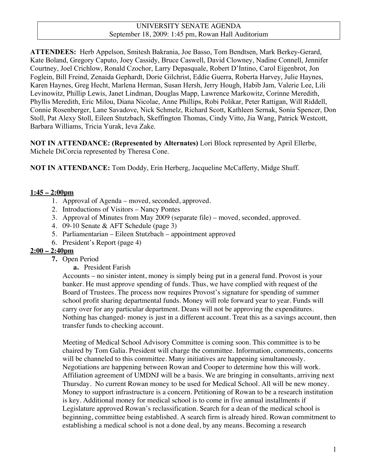#### UNIVERSITY SENATE AGENDA September 18, 2009: 1:45 pm, Rowan Hall Auditorium

**ATTENDEES:** Herb Appelson, Smitesh Bakrania, Joe Basso, Tom Bendtsen, Mark Berkey-Gerard, Kate Boland, Gregory Caputo, Joey Cassidy, Bruce Caswell, David Clowney, Nadine Connell, Jennifer Courtney, Joel Crichlow, Ronald Czochor, Larry Depasquale, Robert D'Intino, Carol Eigenbrot, Jon Foglein, Bill Freind, Zenaida Gephardt, Dorie Gilchrist, Eddie Guerra, Roberta Harvey, Julie Haynes, Karen Haynes, Greg Hecht, Marlena Herman, Susan Hersh, Jerry Hough, Habib Jam, Valerie Lee, Lili Levinowitz, Phillip Lewis, Janet Lindman, Douglas Mapp, Lawrence Markowitz, Corinne Meredith, Phyllis Meredith, Eric Milou, Diana Nicolae, Anne Phillips, Robi Polikar, Peter Rattigan, Will Riddell, Connie Rosenberger, Lane Savadove, Nick Schmelz, Richard Scott, Kathleen Sernak, Sonia Spencer, Don Stoll, Pat Alexy Stoll, Eileen Stutzbach, Skeffington Thomas, Cindy Vitto, Jia Wang, Patrick Westcott, Barbara Williams, Tricia Yurak, Ieva Zake.

**NOT IN ATTENDANCE: (Represented by Alternates)** Lori Block represented by April Ellerbe, Michele DiCorcia represented by Theresa Cone.

**NOT IN ATTENDANCE:** Tom Doddy, Erin Herberg, Jacqueline McCafferty, Midge Shuff.

### **1:45 – 2:00pm**

- 1. Approval of Agenda moved, seconded, approved.
- 2. Introductions of Visitors Nancy Pontes
- 3. Approval of Minutes from May 2009 (separate file) moved, seconded, approved.
- 4. 09-10 Senate & AFT Schedule (page 3)
- 5. Parliamentarian Eileen Stutzbach appointment approved
- 6. President's Report (page 4)

# **2:00 – 2:40pm**

- **7.** Open Period
	- **a.** President Farish

Accounts – no sinister intent, money is simply being put in a general fund. Provost is your banker. He must approve spending of funds. Thus, we have complied with request of the Board of Trustees. The process now requires Provost's signature for spending of summer school profit sharing departmental funds. Money will role forward year to year. Funds will carry over for any particular department. Deans will not be approving the expenditures. Nothing has changed- money is just in a different account. Treat this as a savings account, then transfer funds to checking account.

Meeting of Medical School Advisory Committee is coming soon. This committee is to be chaired by Tom Galia. President will charge the committee. Information, comments, concerns will be channeled to this committee. Many initiatives are happening simultaneously. Negotiations are happening between Rowan and Cooper to determine how this will work. Affiliation agreement of UMDNJ will be a basis. We are bringing in consultants, arriving next Thursday. No current Rowan money to be used for Medical School. All will be new money. Money to support infrastructure is a concern. Petitioning of Rowan to be a research institution is key. Additional money for medical school is to come in five annual installments if Legislature approved Rowan's reclassification. Search for a dean of the medical school is beginning, committee being established. A search firm is already hired. Rowan commitment to establishing a medical school is not a done deal, by any means. Becoming a research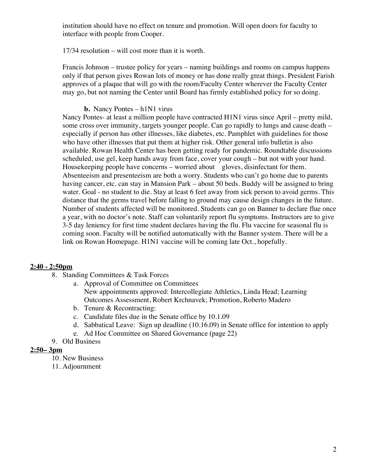institution should have no effect on tenure and promotion. Will open doors for faculty to interface with people from Cooper.

17/34 resolution – will cost more than it is worth.

Francis Johnson – trustee policy for years – naming buildings and rooms on campus happens only if that person gives Rowan lots of money or has done really great things. President Farish approves of a plaque that will go with the room/Faculty Center wherever the Faculty Center may go, but not naming the Center until Board has firmly established policy for so doing.

### **b.** Nancy Pontes – h1N1 virus

Nancy Pontes- at least a million people have contracted H1N1 virus since April – pretty mild, some cross over immunity, targets younger people. Can go rapidly to lungs and cause death – especially if person has other illnesses, like diabetes, etc. Pamphlet with guidelines for those who have other illnesses that put them at higher risk. Other general info bulletin is also available. Rowan Health Center has been getting ready for pandemic. Roundtable discussions scheduled, use gel, keep hands away from face, cover your cough – but not with your hand. Housekeeping people have concerns – worried about gloves, disinfectant for them. Absenteeism and presenteeism are both a worry. Students who can't go home due to parents having cancer, etc. can stay in Mansion Park – about 50 beds. Buddy will be assigned to bring water. Goal - no student to die. Stay at least 6 feet away from sick person to avoid germs. This distance that the germs travel before falling to ground may cause design changes in the future. Number of students affected will be monitored. Students can go on Banner to declare flue once a year, with no doctor's note. Staff can voluntarily report flu symptoms. Instructors are to give 3-5 day leniency for first time student declares having the flu. Flu vaccine for seasonal flu is coming soon. Faculty will be notified automatically with the Banner system. There will be a link on Rowan Homepage. H1N1 vaccine will be coming late Oct., hopefully.

### **2:40 - 2:50pm**

- 8. Standing Committees & Task Forces
	- a. Approval of Committee on Committees
		- New appointments approved: Intercollegiate Athletics, Linda Head; Learning Outcomes Assessment, Robert Krchnavek; Promotion, Roberto Madero
	- b. Tenure & Recontracting:
	- c. Candidate files due in the Senate office by 10.1.09
	- d. Sabbatical Leave: Sign up deadline (10.16.09) in Senate office for intention to apply
	- e. Ad Hoc Committee on Shared Governance (page 22)
- 9. Old Business

### **2:50– 3pm**

- 10. New Business
- 11. Adjournment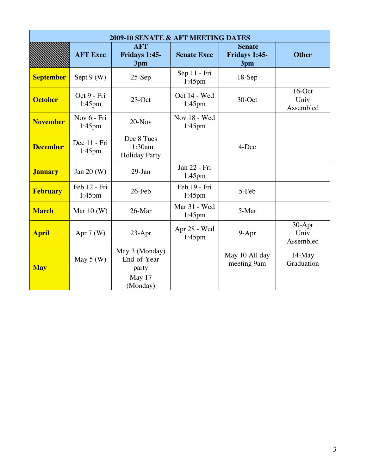| <b>2009-10 SENATE &amp; AFT MEETING DATES</b> |                           |                                                  |                           |                                       |                                |  |  |  |
|-----------------------------------------------|---------------------------|--------------------------------------------------|---------------------------|---------------------------------------|--------------------------------|--|--|--|
|                                               | <b>AFT Exec</b>           | <b>AFT</b><br>Fridays 1:45-<br>3pm               | <b>Senate Exec</b>        | <b>Senate</b><br>Fridays 1:45-<br>3pm | <b>Other</b>                   |  |  |  |
| <b>September</b>                              | Sept $9(W)$               | $25-Sep$                                         | Sep 11 - Fri<br>$1:45$ pm | $18-Sep$                              |                                |  |  |  |
| <b>October</b>                                | Oct 9 - Fri<br>$1:45$ pm  | $23$ -Oct                                        | Oct 14 - Wed<br>$1:45$ pm | 30-Oct                                | $16$ -Oct<br>Univ<br>Assembled |  |  |  |
| <b>November</b>                               | Nov 6 - Fri<br>$1:45$ pm  | $20-Nov$                                         | Nov 18 - Wed<br>$1:45$ pm |                                       |                                |  |  |  |
| <b>December</b>                               | Dec 11 - Fri<br>$1:45$ pm | Dec 8 Tues<br>11:30am<br><b>Holiday Party</b>    |                           | 4-Dec                                 |                                |  |  |  |
| <b>January</b>                                | Jan 20 (W)                | $29$ -Jan                                        | Jan 22 - Fri<br>$1:45$ pm |                                       |                                |  |  |  |
| <b>February</b>                               | Feb 12 - Fri<br>1:45pm    | 26-Feb                                           | Feb 19 - Fri<br>1:45pm    | 5-Feb                                 |                                |  |  |  |
| <b>March</b>                                  | Mar $10(W)$               | 26-Mar                                           | Mar 31 - Wed<br>$1:45$ pm | 5-Mar                                 |                                |  |  |  |
| <b>April</b>                                  | Apr $7(W)$                | $23-Apr$                                         | Apr 28 - Wed<br>$1:45$ pm | 9-Apr                                 | 30-Apr<br>Univ<br>Assembled    |  |  |  |
| <b>May</b>                                    | May $5(W)$                | May 3 (Monday)<br>End-of-Year<br>party<br>May 17 |                           | May 10 All day<br>meeting 9am         | $14$ -May<br>Graduation        |  |  |  |
|                                               |                           | (Monday)                                         |                           |                                       |                                |  |  |  |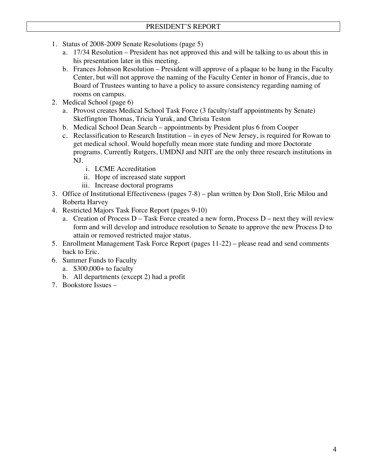- 1. Status of 2008-2009 Senate Resolutions (page 5)
	- a. 17/34 Resolution President has not approved this and will be talking to us about this in his presentation later in this meeting.
	- b. Frances Johnson Resolution President will approve of a plaque to be hung in the Faculty Center, but will not approve the naming of the Faculty Center in honor of Francis, due to Board of Trustees wanting to have a policy to assure consistency regarding naming of rooms on campus.
- 2. Medical School (page 6)
	- a. Provost creates Medical School Task Force (3 faculty/staff appointments by Senate) Skeffington Thomas, Tricia Yurak, and Christa Teston
	- b. Medical School Dean Search appointments by President plus 6 from Cooper
	- c. Reclassification to Research Institution in eyes of New Jersey, is required for Rowan to get medical school. Would hopefully mean more state funding and more Doctorate programs. Currently Rutgers, UMDNJ and NJIT are the only three research institutions in NJ.
		- i. LCME Accreditation
		- ii. Hope of increased state support
		- iii. Increase doctoral programs
- 3. Office of Institutional Effectiveness (pages 7-8) plan written by Don Stoll, Eric Milou and Roberta Harvey
- 4. Restricted Majors Task Force Report (pages 9-10)
	- a. Creation of Process D Task Force created a new form, Process D next they will review form and will develop and introduce resolution to Senate to approve the new Process D to attain or removed restricted major status.
- 5. Enrollment Management Task Force Report (pages 11-22) please read and send comments back to Eric.
- 6. Summer Funds to Faculty
	- a. \$300,000+ to faculty
	- b. All departments (except 2) had a profit
- 7. Bookstore Issues –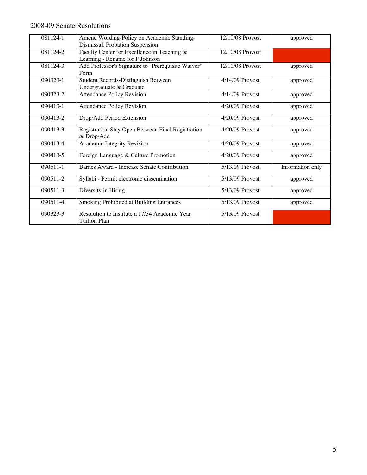# 2008-09 Senate Resolutions

| 081124-1     | Amend Wording-Policy on Academic Standing-<br>Dismissal, Probation Suspension  | 12/10/08 Provost  | approved         |
|--------------|--------------------------------------------------------------------------------|-------------------|------------------|
| 081124-2     | Faculty Center for Excellence in Teaching &<br>Learning - Rename for F Johnson | 12/10/08 Provost  |                  |
| 081124-3     | Add Professor's Signature to "Prerequisite Waiver"<br>Form                     | 12/10/08 Provost  | approved         |
| 090323-1     | Student Records-Distinguish Between<br>Undergraduate & Graduate                | 4/14/09 Provost   | approved         |
| 090323-2     | <b>Attendance Policy Revision</b>                                              | 4/14/09 Provost   | approved         |
| 090413-1     | <b>Attendance Policy Revision</b>                                              | 4/20/09 Provost   | approved         |
| 090413-2     | Drop/Add Period Extension                                                      | 4/20/09 Provost   | approved         |
| 090413-3     | Registration Stay Open Between Final Registration<br>& Drop/Add                | $4/20/09$ Provost | approved         |
| 090413-4     | Academic Integrity Revision                                                    | 4/20/09 Provost   | approved         |
| $090413 - 5$ | Foreign Language & Culture Promotion                                           | $4/20/09$ Provost | approved         |
| 090511-1     | Barnes Award - Increase Senate Contribution                                    | 5/13/09 Provost   | Information only |
| 090511-2     | Syllabi - Permit electronic dissemination                                      | 5/13/09 Provost   | approved         |
| 090511-3     | Diversity in Hiring                                                            | 5/13/09 Provost   | approved         |
| 090511-4     | Smoking Prohibited at Building Entrances                                       | 5/13/09 Provost   | approved         |
| 090323-3     | Resolution to Institute a 17/34 Academic Year<br><b>Tuition Plan</b>           | 5/13/09 Provost   |                  |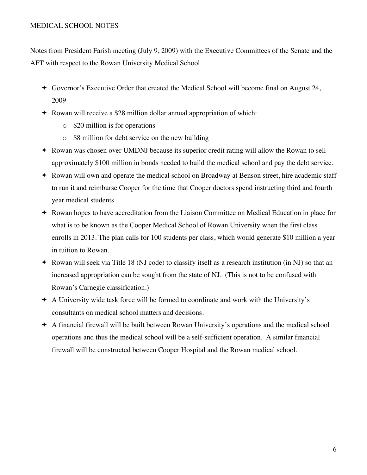#### MEDICAL SCHOOL NOTES

Notes from President Farish meeting (July 9, 2009) with the Executive Committees of the Senate and the AFT with respect to the Rowan University Medical School

- Governor's Executive Order that created the Medical School will become final on August 24, 2009
- Rowan will receive a \$28 million dollar annual appropriation of which:
	- o \$20 million is for operations
	- o \$8 million for debt service on the new building
- Rowan was chosen over UMDNJ because its superior credit rating will allow the Rowan to sell approximately \$100 million in bonds needed to build the medical school and pay the debt service.
- Rowan will own and operate the medical school on Broadway at Benson street, hire academic staff to run it and reimburse Cooper for the time that Cooper doctors spend instructing third and fourth year medical students
- Rowan hopes to have accreditation from the Liaison Committee on Medical Education in place for what is to be known as the Cooper Medical School of Rowan University when the first class enrolls in 2013. The plan calls for 100 students per class, which would generate \$10 million a year in tuition to Rowan.
- Rowan will seek via Title 18 (NJ code) to classify itself as a research institution (in NJ) so that an increased appropriation can be sought from the state of NJ. (This is not to be confused with Rowan's Carnegie classification.)
- A University wide task force will be formed to coordinate and work with the University's consultants on medical school matters and decisions.
- A financial firewall will be built between Rowan University's operations and the medical school operations and thus the medical school will be a self-sufficient operation. A similar financial firewall will be constructed between Cooper Hospital and the Rowan medical school.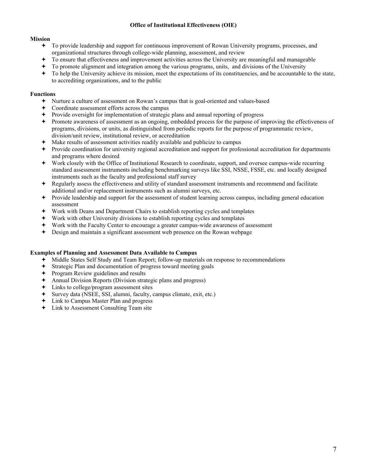#### **Office of Institutional Effectiveness (OIE)**

#### **Mission**

- To provide leadership and support for continuous improvement of Rowan University programs, processes, and organizational structures through college-wide planning, assessment, and review
- To ensure that effectiveness and improvement activities across the University are meaningful and manageable
- To promote alignment and integration among the various programs, units, and divisions of the University
- To help the University achieve its mission, meet the expectations of its constituencies, and be accountable to the state, to accrediting organizations, and to the public

#### **Functions**

- Nurture a culture of assessment on Rowan's campus that is goal-oriented and values-based
- Coordinate assessment efforts across the campus
- Provide oversight for implementation of strategic plans and annual reporting of progress
- Promote awareness of assessment as an ongoing, embedded process for the purpose of improving the effectiveness of programs, divisions, or units, as distinguished from periodic reports for the purpose of programmatic review, division/unit review, institutional review, or accreditation
- Make results of assessment activities readily available and publicize to campus
- Provide coordination for university regional accreditation and support for professional accreditation for departments and programs where desired
- Work closely with the Office of Institutional Research to coordinate, support, and oversee campus-wide recurring standard assessment instruments including benchmarking surveys like SSI, NSSE, FSSE, etc. and locally designed instruments such as the faculty and professional staff survey
- Regularly assess the effectiveness and utility of standard assessment instruments and recommend and facilitate additional and/or replacement instruments such as alumni surveys, etc.
- Provide leadership and support for the assessment of student learning across campus, including general education assessment
- Work with Deans and Department Chairs to establish reporting cycles and templates
- Work with other University divisions to establish reporting cycles and templates
- Work with the Faculty Center to encourage a greater campus-wide awareness of assessment
- Design and maintain a significant assessment web presence on the Rowan webpage

#### **Examples of Planning and Assessment Data Available to Campus**

- Middle States Self Study and Team Report; follow-up materials on response to recommendations
- Strategic Plan and documentation of progress toward meeting goals
- ← Program Review guidelines and results
- Annual Division Reports (Division strategic plans and progress)
- Links to college/program assessment sites
- Survey data (NSEE, SSI, alumni, faculty, campus climate, exit, etc.)
- Link to Campus Master Plan and progress
- Link to Assessment Consulting Team site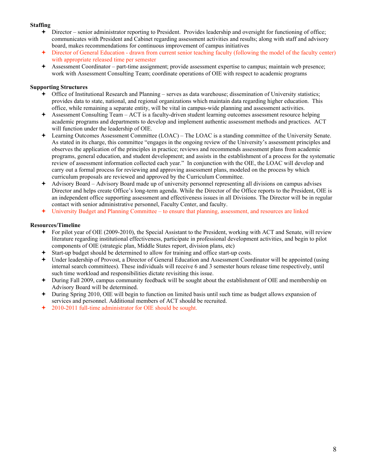#### **Staffing**

- Director senior administrator reporting to President. Provides leadership and oversight for functioning of office; communicates with President and Cabinet regarding assessment activities and results; along with staff and advisory board, makes recommendations for continuous improvement of campus initiatives
- Director of General Education drawn from current senior teaching faculty (following the model of the faculty center) with appropriate released time per semester
- Assessment Coordinator part-time assignment; provide assessment expertise to campus; maintain web presence; work with Assessment Consulting Team; coordinate operations of OIE with respect to academic programs

#### **Supporting Structures**

- Office of Institutional Research and Planning serves as data warehouse; dissemination of University statistics; provides data to state, national, and regional organizations which maintain data regarding higher education. This office, while remaining a separate entity, will be vital in campus-wide planning and assessment activities.
- Assessment Consulting Team ACT is a faculty-driven student learning outcomes assessment resource helping academic programs and departments to develop and implement authentic assessment methods and practices. ACT will function under the leadership of OIE.
- Learning Outcomes Assessment Committee (LOAC) The LOAC is a standing committee of the University Senate. As stated in its charge, this committee "engages in the ongoing review of the University's assessment principles and observes the application of the principles in practice; reviews and recommends assessment plans from academic programs, general education, and student development; and assists in the establishment of a process for the systematic review of assessment information collected each year." In conjunction with the OIE, the LOAC will develop and carry out a formal process for reviewing and approving assessment plans, modeled on the process by which curriculum proposals are reviewed and approved by the Curriculum Committee.
- Advisory Board Advisory Board made up of university personnel representing all divisions on campus advises Director and helps create Office's long-term agenda. While the Director of the Office reports to the President, OIE is an independent office supporting assessment and effectiveness issues in all Divisions. The Director will be in regular contact with senior administrative personnel, Faculty Center, and faculty.
- University Budget and Planning Committee to ensure that planning, assessment, and resources are linked

#### **Resources/Timeline**

- For pilot year of OIE (2009-2010), the Special Assistant to the President, working with ACT and Senate, will review literature regarding institutional effectiveness, participate in professional development activities, and begin to pilot components of OIE (strategic plan, Middle States report, division plans, etc)
- Start-up budget should be determined to allow for training and office start-up costs.
- Under leadership of Provost, a Director of General Education and Assessment Coordinator will be appointed (using internal search committees). These individuals will receive 6 and 3 semester hours release time respectively, until such time workload and responsibilities dictate revisiting this issue.
- During Fall 2009, campus community feedback will be sought about the establishment of OIE and membership on Advisory Board will be determined.
- During Spring 2010, OIE will begin to function on limited basis until such time as budget allows expansion of services and personnel. Additional members of ACT should be recruited.
- 2010-2011 full-time administrator for OIE should be sought.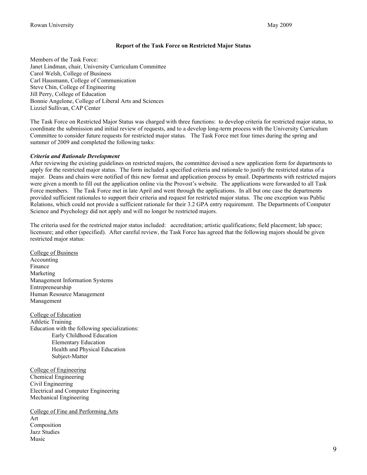#### **Report of the Task Force on Restricted Major Status**

Members of the Task Force: Janet Lindman, chair, University Curriculum Committee Carol Welsh, College of Business Carl Hausmann, College of Communication Steve Chin, College of Engineering Jill Perry, College of Education Bonnie Angelone, College of Liberal Arts and Sciences Lizziel Sullivan, CAP Center

The Task Force on Restricted Major Status was charged with three functions: to develop criteria for restricted major status, to coordinate the submission and initial review of requests, and to a develop long-term process with the University Curriculum Committee to consider future requests for restricted major status. The Task Force met four times during the spring and summer of 2009 and completed the following tasks:

#### *Criteria and Rationale Development*

After reviewing the existing guidelines on restricted majors, the committee devised a new application form for departments to apply for the restricted major status. The form included a specified criteria and rationale to justify the restricted status of a major. Deans and chairs were notified of this new format and application process by email. Departments with restricted majors were given a month to fill out the application online via the Provost's website. The applications were forwarded to all Task Force members. The Task Force met in late April and went through the applications. In all but one case the departments provided sufficient rationales to support their criteria and request for restricted major status. The one exception was Public Relations, which could not provide a sufficient rationale for their 3.2 GPA entry requirement. The Departments of Computer Science and Psychology did not apply and will no longer be restricted majors.

The criteria used for the restricted major status included: accreditation; artistic qualifications; field placement; lab space; licensure; and other (specified). After careful review, the Task Force has agreed that the following majors should be given restricted major status:

College of Business Accounting Finance Marketing Management Information Systems Entrepreneurship Human Resource Management Management

College of Education Athletic Training Education with the following specializations: Early Childhood Education Elementary Education Health and Physical Education Subject-Matter

College of Engineering Chemical Engineering Civil Engineering Electrical and Computer Engineering Mechanical Engineering

College of Fine and Performing Arts Art Composition Jazz Studies Music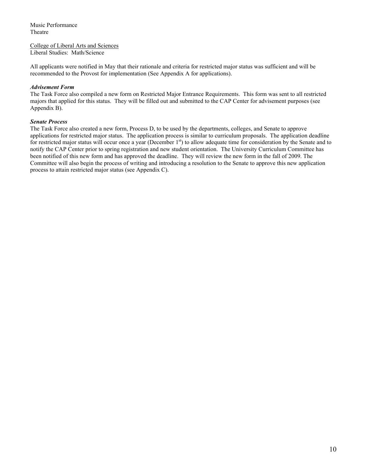Music Performance Theatre

College of Liberal Arts and Sciences Liberal Studies: Math/Science

All applicants were notified in May that their rationale and criteria for restricted major status was sufficient and will be recommended to the Provost for implementation (See Appendix A for applications).

#### *Advisement Form*

The Task Force also compiled a new form on Restricted Major Entrance Requirements. This form was sent to all restricted majors that applied for this status. They will be filled out and submitted to the CAP Center for advisement purposes (see Appendix B).

#### *Senate Process*

The Task Force also created a new form, Process D, to be used by the departments, colleges, and Senate to approve applications for restricted major status. The application process is similar to curriculum proposals. The application deadline for restricted major status will occur once a year (December  $1<sup>st</sup>$ ) to allow adequate time for consideration by the Senate and to notify the CAP Center prior to spring registration and new student orientation. The University Curriculum Committee has been notified of this new form and has approved the deadline. They will review the new form in the fall of 2009. The Committee will also begin the process of writing and introducing a resolution to the Senate to approve this new application process to attain restricted major status (see Appendix C).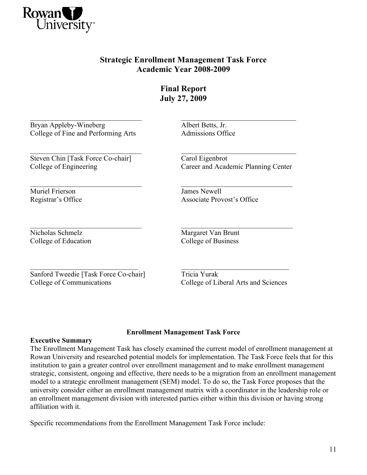

# **Strategic Enrollment Management Task Force Academic Year 2008-2009**

**Final Report July 27, 2009**

 $\mathcal{L}_\text{max} = \frac{1}{2} \sum_{i=1}^n \mathcal{L}_\text{max}(\mathbf{z}_i - \mathbf{z}_i)$ 

Bryan Appleby-Wineberg Albert Betts, Jr. College of Fine and Performing Arts Admissions Office

Steven Chin [Task Force Co-chair] Carol Eigenbrot

Muriel Frierson James Newell

 $\overline{\phantom{a}}$  , and the contribution of the contribution of the contribution of the contribution of the contribution of the contribution of the contribution of the contribution of the contribution of the contribution of the

 $\overline{\phantom{a}}$  , and the contribution of the contribution of the contribution of the contribution of the contribution of the contribution of the contribution of the contribution of the contribution of the contribution of the College of Engineering Career and Academic Planning Center

Registrar's Office Associate Provost's Office

 $\mathcal{L}_\text{max} = \frac{1}{2} \sum_{i=1}^n \mathcal{L}_\text{max}(\mathbf{z}_i - \mathbf{z}_i)$ Nicholas Schmelz Margaret Van Brunt College of Education College of Business

Sanford Tweedie [Task Force Co-chair] Tricia Yurak College of Communications College of Liberal Arts and Sciences

 $\mathcal{L}_\text{max}$  and the contract of the contract of the contract of the contract of the contract of the contract of

### **Enrollment Management Task Force**

### **Executive Summary**

The Enrollment Management Task has closely examined the current model of enrollment management at Rowan University and researched potential models for implementation. The Task Force feels that for this institution to gain a greater control over enrollment management and to make enrollment management strategic, consistent, ongoing and effective, there needs to be a migration from an enrollment management model to a strategic enrollment management (SEM) model. To do so, the Task Force proposes that the university consider either an enrollment management matrix with a coordinator in the leadership role or an enrollment management division with interested parties either within this division or having strong affiliation with it.

Specific recommendations from the Enrollment Management Task Force include: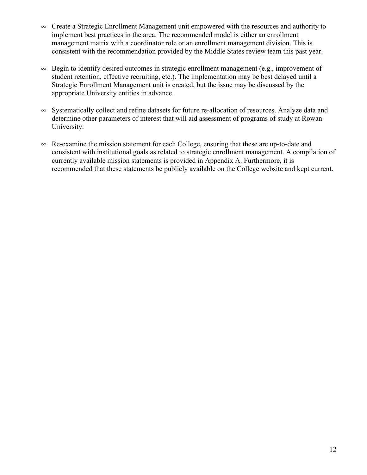- $\infty$  Create a Strategic Enrollment Management unit empowered with the resources and authority to implement best practices in the area. The recommended model is either an enrollment management matrix with a coordinator role or an enrollment management division. This is consistent with the recommendation provided by the Middle States review team this past year.
- $\infty$  Begin to identify desired outcomes in strategic enrollment management (e.g., improvement of student retention, effective recruiting, etc.). The implementation may be best delayed until a Strategic Enrollment Management unit is created, but the issue may be discussed by the appropriate University entities in advance.
- $\infty$  Systematically collect and refine datasets for future re-allocation of resources. Analyze data and determine other parameters of interest that will aid assessment of programs of study at Rowan University.
- $\infty$  Re-examine the mission statement for each College, ensuring that these are up-to-date and consistent with institutional goals as related to strategic enrollment management. A compilation of currently available mission statements is provided in Appendix A. Furthermore, it is recommended that these statements be publicly available on the College website and kept current.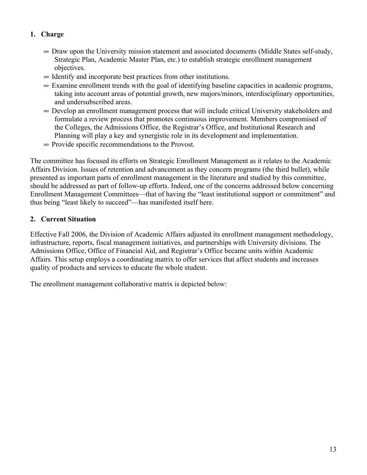# **1. Charge**

- $\infty$  Draw upon the University mission statement and associated documents (Middle States self-study, Strategic Plan, Academic Master Plan, etc.) to establish strategic enrollment management objectives.
- $\sim$  Identify and incorporate best practices from other institutions.
- $\infty$  Examine enrollment trends with the goal of identifying baseline capacities in academic programs, taking into account areas of potential growth, new majors/minors, interdisciplinary opportunities, and undersubscribed areas.
- $\infty$  Develop an enrollment management process that will include critical University stakeholders and formulate a review process that promotes continuous improvement. Members compromised of the Colleges, the Admissions Office, the Registrar's Office, and Institutional Research and Planning will play a key and synergistic role in its development and implementation.
- $\infty$  Provide specific recommendations to the Provost.

The committee has focused its efforts on Strategic Enrollment Management as it relates to the Academic Affairs Division. Issues of retention and advancement as they concern programs (the third bullet), while presented as important parts of enrollment management in the literature and studied by this committee, should be addressed as part of follow-up efforts. Indeed, one of the concerns addressed below concerning Enrollment Management Committees—that of having the "least institutional support or commitment" and thus being "least likely to succeed"—has manifested itself here.

# **2. Current Situation**

Effective Fall 2006, the Division of Academic Affairs adjusted its enrollment management methodology, infrastructure, reports, fiscal management initiatives, and partnerships with University divisions. The Admissions Office, Office of Financial Aid, and Registrar's Office became units within Academic Affairs. This setup employs a coordinating matrix to offer services that affect students and increases quality of products and services to educate the whole student.

The enrollment management collaborative matrix is depicted below: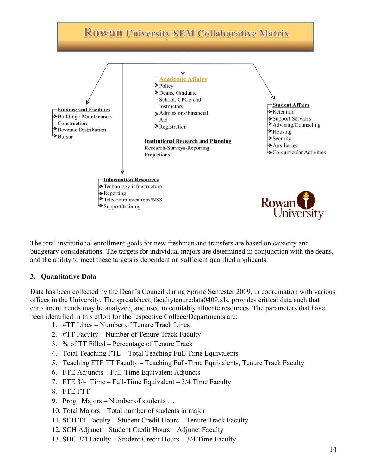

The total institutional enrollment goals for new freshman and transfers are based on capacity and budgetary considerations. The targets for individual majors are determined in conjunction with the deans, and the ability to meet these targets is dependent on sufficient qualified applicants.

# **3. Quantitative Data**

Data has been collected by the Dean's Council during Spring Semester 2009, in coordination with various offices in the University. The spreadsheet, facultytenuredata0409.xls, provides critical data such that enrollment trends may be analyzed, and used to equitably allocate resources. The parameters that have been identified in this effort for the respective College/Departments are:

- 1. #TT Lines Number of Tenure Track Lines
- 2. #TT Faculty Number of Tenure Track Faculty
- 3. % of TT Filled Percentage of Tenure Track
- 4. Total Teaching FTE Total Teaching Full-Time Equivalents
- 5. Teaching FTE TT Faculty Teaching Full-Time Equivalents, Tenure Track Faculty
- 6. FTE Adjuncts Full-Time Equivalent Adjuncts
- 7. FTE 3/4 Time Full-Time Equivalent 3/4 Time Faculty
- 8. FTE FTT
- 9. Prog1 Majors Number of students …
- 10. Total Majors Total number of students in major
- 11. SCH TT Faculty Student Credit Hours Tenure Track Faculty
- 12. SCH Adjunct Student Credit Hours Adjunct Faculty
- 13. SHC 3/4 Faculty Student Credit Hours 3/4 Time Faculty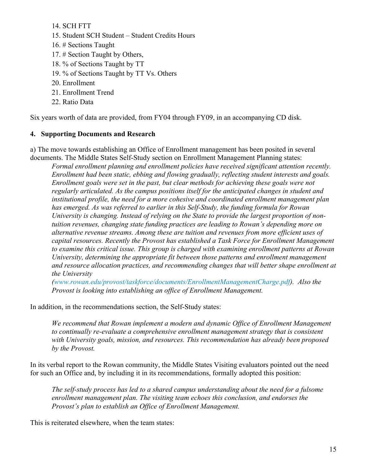14. SCH FTT

- 15. Student SCH Student Student Credits Hours
- 16. # Sections Taught
- 17. # Section Taught by Others,
- 18. % of Sections Taught by TT
- 19. % of Sections Taught by TT Vs. Others
- 20. Enrollment
- 21. Enrollment Trend
- 22. Ratio Data

Six years worth of data are provided, from FY04 through FY09, in an accompanying CD disk.

#### **4. Supporting Documents and Research**

a) The move towards establishing an Office of Enrollment management has been posited in several documents. The Middle States Self-Study section on Enrollment Management Planning states:

*Formal enrollment planning and enrollment policies have received significant attention recently. Enrollment had been static, ebbing and flowing gradually, reflecting student interests and goals. Enrollment goals were set in the past, but clear methods for achieving these goals were not regularly articulated. As the campus positions itself for the anticipated changes in student and institutional profile, the need for a more cohesive and coordinated enrollment management plan has emerged. As was referred to earlier in this Self-Study, the funding formula for Rowan University is changing. Instead of relying on the State to provide the largest proportion of nontuition revenues, changing state funding practices are leading to Rowan's depending more on alternative revenue streams. Among these are tuition and revenues from more efficient uses of capital resources. Recently the Provost has established a Task Force for Enrollment Management to examine this critical issue. This group is charged with examining enrollment patterns at Rowan University, determining the appropriate fit between those patterns and enrollment management and resource allocation practices, and recommending changes that will better shape enrollment at the University* 

*(www.rowan.edu/provost/taskforce/documents/EnrollmentManagementCharge.pdf). Also the Provost is looking into establishing an office of Enrollment Management.*

In addition, in the recommendations section, the Self-Study states:

*We recommend that Rowan implement a modern and dynamic Office of Enrollment Management to continually re-evaluate a comprehensive enrollment management strategy that is consistent with University goals, mission, and resources. This recommendation has already been proposed by the Provost.*

In its verbal report to the Rowan community, the Middle States Visiting evaluators pointed out the need for such an Office and, by including it in its recommendations, formally adopted this position:

*The self-study process has led to a shared campus understanding about the need for a fulsome enrollment management plan. The visiting team echoes this conclusion, and endorses the Provost's plan to establish an Office of Enrollment Management.*

This is reiterated elsewhere, when the team states: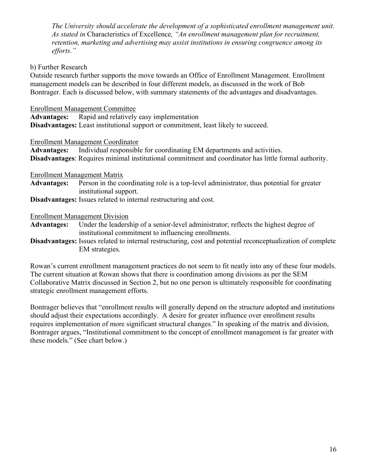*The University should accelerate the development of a sophisticated enrollment management unit. As stated in* Characteristics of Excellence*, "An enrollment management plan for recruitment, retention, marketing and advertising may assist institutions in ensuring congruence among its efforts."*

### b) Further Research

Outside research further supports the move towards an Office of Enrollment Management. Enrollment management models can be described in four different models, as discussed in the work of Bob Bontrager. Each is discussed below, with summary statements of the advantages and disadvantages.

Enrollment Management Committee

**Advantages:** Rapid and relatively easy implementation

**Disadvantages:** Least institutional support or commitment, least likely to succeed.

#### Enrollment Management Coordinator

**Advantages:** Individual responsible for coordinating EM departments and activities. **Disadvantages**: Requires minimal institutional commitment and coordinator has little formal authority.

Enrollment Management Matrix

**Advantages:** Person in the coordinating role is a top-level administrator, thus potential for greater institutional support.

**Disadvantages:** Issues related to internal restructuring and cost.

Enrollment Management Division

**Advantages:** Under the leadership of a senior-level administrator; reflects the highest degree of institutional commitment to influencing enrollments.

**Disadvantages:** Issues related to internal restructuring, cost and potential reconceptualization of complete EM strategies.

Rowan's current enrollment management practices do not seem to fit neatly into any of these four models. The current situation at Rowan shows that there is coordination among divisions as per the SEM Collaborative Matrix discussed in Section 2, but no one person is ultimately responsible for coordinating strategic enrollment management efforts.

Bontrager believes that "enrollment results will generally depend on the structure adopted and institutions should adjust their expectations accordingly. A desire for greater influence over enrollment results requires implementation of more significant structural changes." In speaking of the matrix and division, Bontrager argues, "Institutional commitment to the concept of enrollment management is far greater with these models." (See chart below.)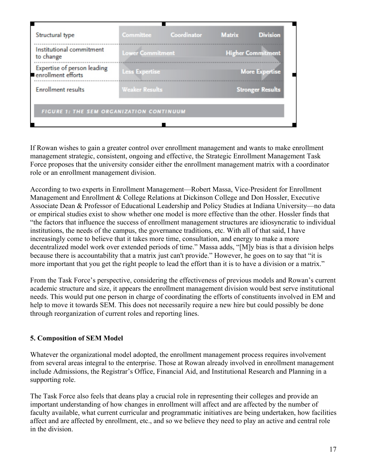| Structural type                                   | <b>Committee</b>        | Coordinator | <b>Matrix</b>            | <b>Division</b> |
|---------------------------------------------------|-------------------------|-------------|--------------------------|-----------------|
| Institutional commitment<br>to change             | <b>Lower Commitment</b> |             | <b>Higher Commitment</b> |                 |
| Expertise of person leading<br>enrollment efforts | <b>Less Expertise</b>   |             | <b>More Expertise</b>    |                 |
| <b>Enrollment results</b>                         | <b>Weaker Results</b>   |             | <b>Stronger Results</b>  |                 |
| FIGURE 1: THE SEM ORGANIZATION CONTINUUM          |                         |             |                          |                 |

If Rowan wishes to gain a greater control over enrollment management and wants to make enrollment management strategic, consistent, ongoing and effective, the Strategic Enrollment Management Task Force proposes that the university consider either the enrollment management matrix with a coordinator role or an enrollment management division.

According to two experts in Enrollment Management—Robert Massa, Vice-President for Enrollment Management and Enrollment & College Relations at Dickinson College and Don Hossler, Executive Associate Dean & Professor of Educational Leadership and Policy Studies at Indiana University—no data or empirical studies exist to show whether one model is more effective than the other. Hossler finds that "the factors that influence the success of enrollment management structures are idiosyncratic to individual institutions, the needs of the campus, the governance traditions, etc. With all of that said, I have increasingly come to believe that it takes more time, consultation, and energy to make a more decentralized model work over extended periods of time." Massa adds, "[M]y bias is that a division helps because there is accountability that a matrix just can't provide." However, he goes on to say that "it is more important that you get the right people to lead the effort than it is to have a division or a matrix."

From the Task Force's perspective, considering the effectiveness of previous models and Rowan's current academic structure and size, it appears the enrollment management division would best serve institutional needs. This would put one person in charge of coordinating the efforts of constituents involved in EM and help to move it towards SEM. This does not necessarily require a new hire but could possibly be done through reorganization of current roles and reporting lines.

# **5. Composition of SEM Model**

Whatever the organizational model adopted, the enrollment management process requires involvement from several areas integral to the enterprise. Those at Rowan already involved in enrollment management include Admissions, the Registrar's Office, Financial Aid, and Institutional Research and Planning in a supporting role.

The Task Force also feels that deans play a crucial role in representing their colleges and provide an important understanding of how changes in enrollment will affect and are affected by the number of faculty available, what current curricular and programmatic initiatives are being undertaken, how facilities affect and are affected by enrollment, etc., and so we believe they need to play an active and central role in the division.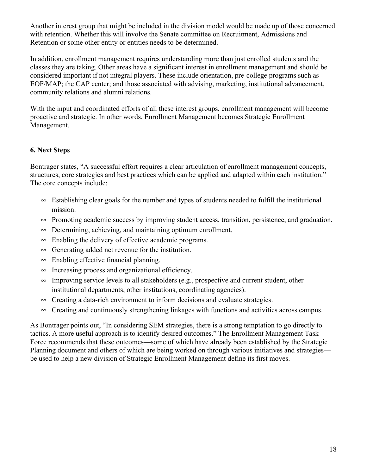Another interest group that might be included in the division model would be made up of those concerned with retention. Whether this will involve the Senate committee on Recruitment, Admissions and Retention or some other entity or entities needs to be determined.

In addition, enrollment management requires understanding more than just enrolled students and the classes they are taking. Other areas have a significant interest in enrollment management and should be considered important if not integral players. These include orientation, pre-college programs such as EOF/MAP; the CAP center; and those associated with advising, marketing, institutional advancement, community relations and alumni relations.

With the input and coordinated efforts of all these interest groups, enrollment management will become proactive and strategic. In other words, Enrollment Management becomes Strategic Enrollment Management.

# **6. Next Steps**

Bontrager states, "A successful effort requires a clear articulation of enrollment management concepts, structures, core strategies and best practices which can be applied and adapted within each institution." The core concepts include:

- $\infty$  Establishing clear goals for the number and types of students needed to fulfill the institutional mission.
- $\sim$  Promoting academic success by improving student access, transition, persistence, and graduation.
- $\infty$  Determining, achieving, and maintaining optimum enrollment.
- $\infty$  Enabling the delivery of effective academic programs.
- $\infty$  Generating added net revenue for the institution.
- $\infty$  Enabling effective financial planning.
- $\infty$  Increasing process and organizational efficiency.
- $\infty$  Improving service levels to all stakeholders (e.g., prospective and current student, other institutional departments, other institutions, coordinating agencies).
- $\infty$  Creating a data-rich environment to inform decisions and evaluate strategies.
- $\infty$  Creating and continuously strengthening linkages with functions and activities across campus.

As Bontrager points out, "In considering SEM strategies, there is a strong temptation to go directly to tactics. A more useful approach is to identify desired outcomes." The Enrollment Management Task Force recommends that these outcomes—some of which have already been established by the Strategic Planning document and others of which are being worked on through various initiatives and strategies be used to help a new division of Strategic Enrollment Management define its first moves.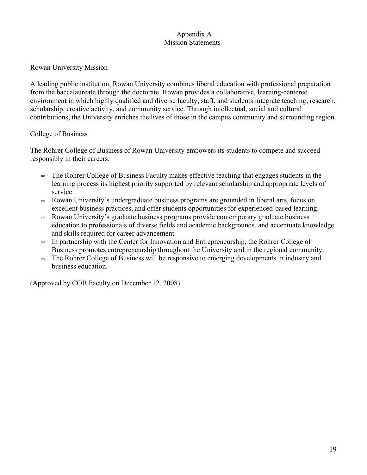### Appendix A Mission Statements

### Rowan University Mission

A leading public institution, Rowan University combines liberal education with professional preparation from the baccalaureate through the doctorate. Rowan provides a collaborative, learning-centered environment in which highly qualified and diverse faculty, staff, and students integrate teaching, research, scholarship, creative activity, and community service. Through intellectual, social and cultural contributions, the University enriches the lives of those in the campus community and surrounding region.

### College of Business

The Rohrer College of Business of Rowan University empowers its students to compete and succeed responsibly in their careers.

- $\infty$  The Rohrer College of Business Faculty makes effective teaching that engages students in the learning process its highest priority supported by relevant scholarship and appropriate levels of service.
- Rowan University's undergraduate business programs are grounded in liberal arts, focus on excellent business practices, and offer students opportunities for experienced-based learning.
- $\infty$  Rowan University's graduate business programs provide contemporary graduate business education to professionals of diverse fields and academic backgrounds, and accentuate knowledge and skills required for career advancement.
- $\sim$  In partnership with the Center for Innovation and Entrepreneurship, the Rohrer College of Business promotes entrepreneurship throughout the University and in the regional community.
- $\infty$  The Rohrer College of Business will be responsive to emerging developments in industry and business education.

(Approved by COB Faculty on December 12, 2008)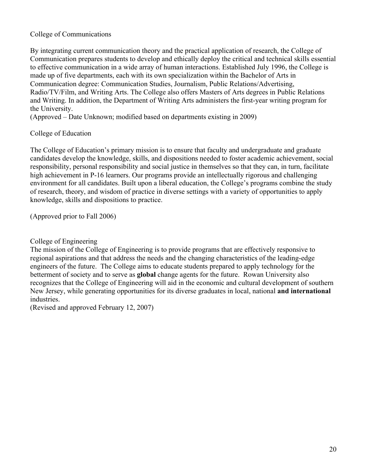### College of Communications

By integrating current communication theory and the practical application of research, the College of Communication prepares students to develop and ethically deploy the critical and technical skills essential to effective communication in a wide array of human interactions. Established July 1996, the College is made up of five departments, each with its own specialization within the Bachelor of Arts in Communication degree: Communication Studies, Journalism, Public Relations/Advertising, Radio/TV/Film, and Writing Arts. The College also offers Masters of Arts degrees in Public Relations and Writing. In addition, the Department of Writing Arts administers the first-year writing program for the University.

(Approved – Date Unknown; modified based on departments existing in 2009)

#### College of Education

The College of Education's primary mission is to ensure that faculty and undergraduate and graduate candidates develop the knowledge, skills, and dispositions needed to foster academic achievement, social responsibility, personal responsibility and social justice in themselves so that they can, in turn, facilitate high achievement in P-16 learners. Our programs provide an intellectually rigorous and challenging environment for all candidates. Built upon a liberal education, the College's programs combine the study of research, theory, and wisdom of practice in diverse settings with a variety of opportunities to apply knowledge, skills and dispositions to practice.

(Approved prior to Fall 2006)

College of Engineering

The mission of the College of Engineering is to provide programs that are effectively responsive to regional aspirations and that address the needs and the changing characteristics of the leading-edge engineers of the future. The College aims to educate students prepared to apply technology for the betterment of society and to serve as **global** change agents for the future. Rowan University also recognizes that the College of Engineering will aid in the economic and cultural development of southern New Jersey, while generating opportunities for its diverse graduates in local, national **and international** industries.

(Revised and approved February 12, 2007)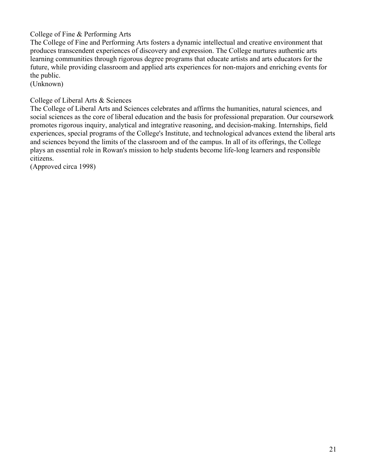College of Fine & Performing Arts

The College of Fine and Performing Arts fosters a dynamic intellectual and creative environment that produces transcendent experiences of discovery and expression. The College nurtures authentic arts learning communities through rigorous degree programs that educate artists and arts educators for the future, while providing classroom and applied arts experiences for non-majors and enriching events for the public.

(Unknown)

College of Liberal Arts & Sciences

The College of Liberal Arts and Sciences celebrates and affirms the humanities, natural sciences, and social sciences as the core of liberal education and the basis for professional preparation. Our coursework promotes rigorous inquiry, analytical and integrative reasoning, and decision-making. Internships, field experiences, special programs of the College's Institute, and technological advances extend the liberal arts and sciences beyond the limits of the classroom and of the campus. In all of its offerings, the College plays an essential role in Rowan's mission to help students become life-long learners and responsible citizens.

(Approved circa 1998)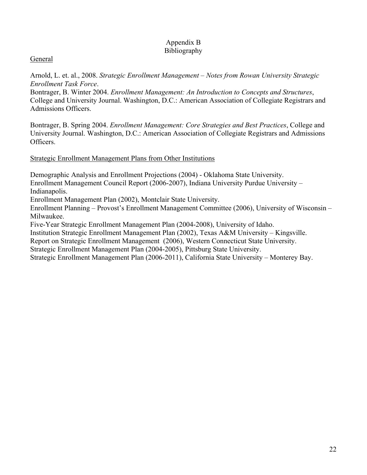### Appendix B Bibliography

## General

Arnold, L. et. al., 2008. *Strategic Enrollment Management – Notes from Rowan University Strategic Enrollment Task Force*.

Bontrager, B. Winter 2004. *Enrollment Management: An Introduction to Concepts and Structures*, College and University Journal. Washington, D.C.: American Association of Collegiate Registrars and Admissions Officers.

Bontrager, B. Spring 2004. *Enrollment Management: Core Strategies and Best Practices*, College and University Journal. Washington, D.C.: American Association of Collegiate Registrars and Admissions Officers.

### Strategic Enrollment Management Plans from Other Institutions

Demographic Analysis and Enrollment Projections (2004) - Oklahoma State University.

Enrollment Management Council Report (2006-2007), Indiana University Purdue University – Indianapolis.

Enrollment Management Plan (2002), Montclair State University.

Enrollment Planning – Provost's Enrollment Management Committee (2006), University of Wisconsin – Milwaukee.

Five-Year Strategic Enrollment Management Plan (2004-2008), University of Idaho.

Institution Strategic Enrollment Management Plan (2002), Texas A&M University – Kingsville.

Report on Strategic Enrollment Management (2006), Western Connecticut State University.

Strategic Enrollment Management Plan (2004-2005), Pittsburg State University.

Strategic Enrollment Management Plan (2006-2011), California State University – Monterey Bay.